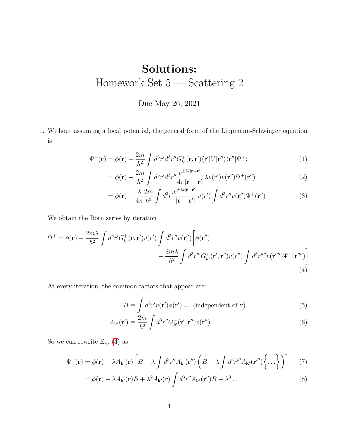## Solutions: Homework Set 5 — Scattering 2

## Due May 26, 2021

1. Without assuming a local potential, the general form of the Lippmann-Schwinger equation is

$$
\Psi^+(\mathbf{r}) = \phi(\mathbf{r}) - \frac{2m}{\hbar^2} \int d^3r' d^3r'' G^+_{k'}(\mathbf{r}, \mathbf{r}') \langle \mathbf{r}' | V | \mathbf{r}'' \rangle \langle \mathbf{r}'' | \Psi^+ \rangle \tag{1}
$$

$$
= \phi(\mathbf{r}) - \frac{2m}{\hbar^2} \int d^3r' d^3r'' \frac{e^{\pm ik|\mathbf{r} - \mathbf{r}'|}}{4\pi |\mathbf{r} - \mathbf{r}'|} \lambda v(r')v(\mathbf{r}'') \Psi^+(\mathbf{r}'')
$$
(2)

$$
= \phi(\mathbf{r}) - \frac{\lambda}{4\pi} \frac{2m}{\hbar^2} \int d^3 r' \frac{e^{\pm ik|\mathbf{r} - \mathbf{r}'|}}{|\mathbf{r} - \mathbf{r}'|} v(r') \int d^3 r'' v(\mathbf{r}'') \Psi^+(\mathbf{r}'')
$$
(3)

We obtain the Born series by iteration

$$
\Psi^{+} = \phi(\mathbf{r}) - \frac{2m\lambda}{\hbar^2} \int d^3r' G_{k'}^{+}(\mathbf{r}, \mathbf{r}') v(r') \int d^3r'' v(\mathbf{r}'') \left[ \phi(\mathbf{r}'') - \frac{2m\lambda}{\hbar^2} \int d^3r''' G_{k'}^{+}(\mathbf{r}', \mathbf{r}'') v(r'') \int d^3r'''' v(\mathbf{r}'''') \Psi^{+}(\mathbf{r}'''') \right]
$$
\n(4)

At every iteration, the common factors that appear are:

<span id="page-0-0"></span>
$$
B \equiv \int d^3 r' v(\mathbf{r}') \phi(\mathbf{r}') = \text{ (independent of } \mathbf{r}) \tag{5}
$$

$$
A_{\mathbf{k}'}(\mathbf{r}') \equiv \frac{2m}{\hbar^2} \int d^3 r'' G_{k'}^+(\mathbf{r}', \mathbf{r}'') v(\mathbf{r}'')
$$
 (6)

So we can rewrite Eq. [\(4\)](#page-0-0) as

$$
\Psi^+(\mathbf{r}) = \phi(\mathbf{r}) - \lambda A_{\mathbf{k}'}(\mathbf{r}) \left[ B - \lambda \int d^3 r'' A_{\mathbf{k}'}(\mathbf{r}'') \left( B - \lambda \int d^3 r''' A_{\mathbf{k}'}(\mathbf{r}''') \left\{ \dots \right\} \right) \right]
$$
(7)

$$
= \phi(\mathbf{r}) - \lambda A_{\mathbf{k}'}(\mathbf{r})B + \lambda^2 A_{\mathbf{k}'}(\mathbf{r}) \int d^3 r'' A_{\mathbf{k}'}(\mathbf{r}'')B - \lambda^3 \dots \tag{8}
$$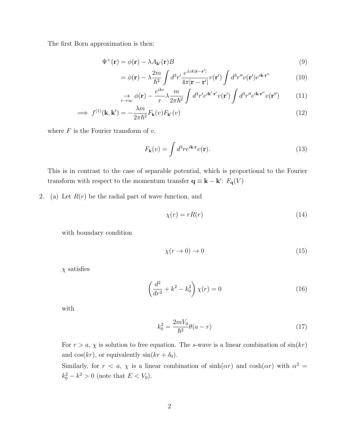The first Born approximation is then:

$$
\Psi^{+}(\mathbf{r}) = \phi(\mathbf{r}) - \lambda A_{\mathbf{k}'}(\mathbf{r})B
$$
\n(9)

$$
= \phi(\mathbf{r}) - \lambda \frac{2m}{\hbar^2} \int d^3 r' \frac{e^{\pm ik|\mathbf{r} - \mathbf{r}'|}}{4\pi |\mathbf{r} - \mathbf{r}'|} v(\mathbf{r}') \int d^3 r'' v(\mathbf{r}') e^{i\mathbf{k} \cdot \mathbf{r}''}
$$
(10)

$$
\underset{r \to \infty}{\to} \phi(\mathbf{r}) - \frac{e^{ikr}}{r} \lambda \frac{m}{2\pi \hbar^2} \int d^3r' e^{i\mathbf{k}' \cdot \mathbf{r}'} v(\mathbf{r}') \int d^3r'' e^{i\mathbf{k} \cdot \mathbf{r}''} v(\mathbf{r}'') \tag{11}
$$

$$
\implies f^{(1)}(\mathbf{k}, \mathbf{k}') = -\frac{\lambda m}{2\pi\hbar^2} F_{\mathbf{k}}(v) F_{\mathbf{k}'}(v) \tag{12}
$$

where  $F$  is the Fourier transform of  $v$ .

$$
F_{\mathbf{k}}(v) = \int d^3r e^{i\mathbf{k}\cdot\mathbf{r}} v(\mathbf{r}).
$$
\n(13)

This is in contrast to the case of separable potential, which is proportional to the Fourier transform with respect to the momentum transfer  $\mathbf{q} \equiv \mathbf{k} - \mathbf{k}'$ :  $F_{\mathbf{q}}(V)$ 

2. (a) Let  $R(r)$  be the radial part of wave function, and

$$
\chi(r) = rR(r) \tag{14}
$$

with boundary condition

$$
\chi(r \to 0) \to 0 \tag{15}
$$

 $\chi$  satisfies

$$
\left(\frac{d^2}{dr^2} + k^2 - k_0^2\right)\chi(r) = 0\tag{16}
$$

with

$$
k_0^2 = \frac{2mV_0}{\hbar^2} \theta(a-r)
$$
\n(17)

For  $r > a$ ,  $\chi$  is solution to free equation. The s-wave is a linear combination of  $sin(kr)$ and  $cos(kr)$ , or equivalently  $sin(kr + \delta_0)$ .

Similarly, for  $r < a$ ,  $\chi$  is a linear combination of  $sinh(\alpha r)$  and  $cosh(\alpha r)$  with  $\alpha^2 =$  $k_0^2 - k^2 > 0$  (note that  $E < V_0$ ).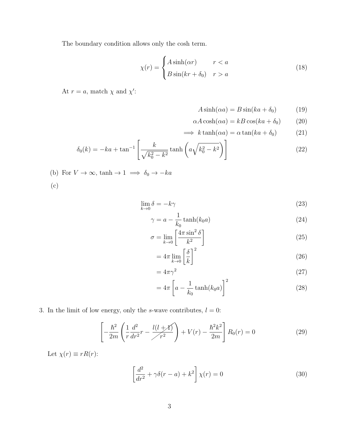The boundary condition allows only the cosh term.

$$
\chi(r) = \begin{cases} A\sinh(\alpha r) & r < a \\ B\sin(kr + \delta_0) & r > a \end{cases}
$$
 (18)

At  $r = a$ , match  $\chi$  and  $\chi'$ :

$$
A\sinh(\alpha a) = B\sin(ka + \delta_0) \tag{19}
$$

$$
\alpha A \cosh(\alpha a) = kB \cos(ka + \delta_0) \tag{20}
$$

$$
\implies k \tanh(\alpha a) = \alpha \tan(ka + \delta_0) \tag{21}
$$

$$
\delta_0(k) = -ka + \tan^{-1} \left[ \frac{k}{\sqrt{k_0^2 - k^2}} \tanh\left( a \sqrt{k_0^2 - k^2} \right) \right]
$$
 (22)

(b) For  $V \to \infty$ , tanh → 1  $\implies \delta_0 \to -ka$ 

(c)

$$
\lim_{k \to 0} \delta = -k\gamma \tag{23}
$$

$$
\gamma = a - \frac{1}{k_0} \tanh(k_0 a) \tag{24}
$$

$$
\sigma = \lim_{k \to 0} \left[ \frac{4\pi \sin^2 \delta}{k^2} \right] \tag{25}
$$

$$
=4\pi\lim_{k\to 0}\left[\frac{\delta}{k}\right]^2\tag{26}
$$

$$
=4\pi\gamma^2\tag{27}
$$

$$
=4\pi \left[ a - \frac{1}{k_0} \tanh(k_0 a) \right]^2 \tag{28}
$$

## 3. In the limit of low energy, only the s-wave contributes,  $l = 0$ :

$$
\left[ -\frac{\hbar^2}{2m} \left( \frac{1}{r} \frac{d^2}{dr^2} r - \frac{l(l+\mathcal{N})}{r^2} \right) + V(r) - \frac{\hbar^2 k^2}{2m} \right] R_0(r) = 0 \tag{29}
$$

Let  $\chi(r) \equiv rR(r)$ :

$$
\left[\frac{d^2}{dr^2} + \gamma \delta(r - a) + k^2\right] \chi(r) = 0\tag{30}
$$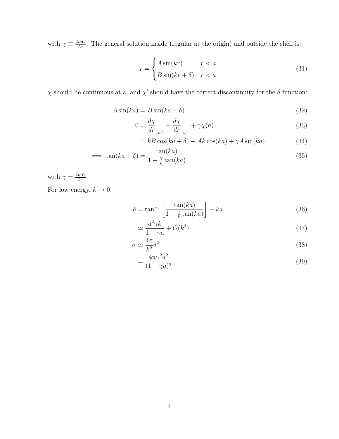with  $\gamma \equiv \frac{2mC}{\hbar^2}$ . The general solution inside (regular at the origin) and outside the shell is:

$$
\chi = \begin{cases} A\sin(kr) & r < a \\ B\sin(kr + \delta) & r < a \end{cases}
$$
 (31)

 $\chi$  should be continuous at a, and  $\chi'$  should have the correct discontinuity for the δ function:

$$
A\sin(ka) = B\sin(ka+\delta) \tag{32}
$$

$$
0 = \frac{d\chi}{dr}\bigg|_{a^+} - \frac{d\chi}{dr}\bigg|_{a^-} + \gamma \chi(a) \tag{33}
$$

$$
= kB\cos(ka+\delta) - Ak\cos(ka) + \gamma A\sin(ka)
$$
\n(34)

$$
\implies \tan(ka+\delta) = \frac{\tan(ka)}{1 - \frac{\gamma}{k}\tan(ka)}\tag{35}
$$

with  $\gamma = \frac{2mC}{\hbar^2}$ . For low energy,  $k\to 0:$ 

$$
\delta = \tan^{-1} \left[ \frac{\tan(ka)}{1 - \frac{\gamma}{k} \tan(ka)} \right] - ka \tag{36}
$$

$$
\simeq \frac{a^2 \gamma k}{1 - \gamma a} + O(k^3) \tag{37}
$$

$$
\sigma \simeq \frac{4\pi}{k^2} \delta^2 \tag{38}
$$

$$
=\frac{4\pi\gamma^2a^2}{(1-\gamma a)^2}\tag{39}
$$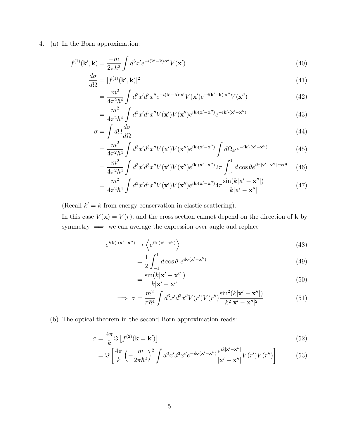4. (a) In the Born approximation:

$$
f^{(1)}(\mathbf{k}',\mathbf{k}) = \frac{-m}{2\pi\hbar^2} \int d^3x' e^{-i(\mathbf{k}'-\mathbf{k})\cdot\mathbf{x}'} V(\mathbf{x}')
$$
(40)

$$
\frac{d\sigma}{d\Omega} = |f^{(1)}(\mathbf{k}', \mathbf{k})|^2
$$
\n(41)

$$
=\frac{m^2}{4\pi^2\hbar^4}\int d^3x'd^3x''e^{-i(\mathbf{k'}-\mathbf{k})\cdot\mathbf{x'}}V(\mathbf{x'})e^{-i(\mathbf{k'}-\mathbf{k})\cdot\mathbf{x''}}V(\mathbf{x''})
$$
(42)

$$
=\frac{m^2}{4\pi^2\hbar^4}\int d^3x'd^3x''V(\mathbf{x}')V(\mathbf{x}'')e^{i\mathbf{k}\cdot(\mathbf{x}'-\mathbf{x}'')}e^{-i\mathbf{k}'\cdot(\mathbf{x}'-\mathbf{x}'')} \tag{43}
$$

$$
\sigma = \int d\Omega \frac{d\sigma}{d\Omega} \tag{44}
$$

$$
=\frac{m^2}{4\pi^2\hbar^4}\int d^3x'd^3x''V(\mathbf{x}')V(\mathbf{x}'')e^{i\mathbf{k}\cdot(\mathbf{x}'-\mathbf{x}'')} \int d\Omega_{k'}e^{-i\mathbf{k}'\cdot(\mathbf{x}'-\mathbf{x}'')} \tag{45}
$$

$$
= \frac{m^2}{4\pi^2\hbar^4} \int d^3x' d^3x'' V(\mathbf{x'}) V(\mathbf{x''}) e^{i\mathbf{k}\cdot(\mathbf{x'}-\mathbf{x''})} 2\pi \int_{-1}^1 d\cos\theta e^{ik'|\mathbf{x'}-\mathbf{x''}|\cos\theta} \tag{46}
$$

$$
= \frac{m^2}{4\pi^2\hbar^4} \int d^3x' d^3x'' V(\mathbf{x}') V(\mathbf{x}'') e^{i\mathbf{k}\cdot(\mathbf{x}'-\mathbf{x}'')} 4\pi \frac{\sin(k|\mathbf{x}'-\mathbf{x}''|)}{k|\mathbf{x}'-\mathbf{x}''|}
$$
(47)

(Recall  $k' = k$  from energy conservation in elastic scattering).

In this case  $V(\mathbf{x}) = V(r)$ , and the cross section cannot depend on the direction of **k** by symmetry =⇒ we can average the expression over angle and replace

$$
e^{i(\mathbf{k}) \cdot (\mathbf{x}' - \mathbf{x}'')} \to \left\langle e^{i\mathbf{k} \cdot (\mathbf{x}' - \mathbf{x}'')} \right\rangle \tag{48}
$$

$$
=\frac{1}{2}\int_{-1}^{1}d\cos\theta \ e^{i\mathbf{k}\cdot(\mathbf{x}'-\mathbf{x}'')} \tag{49}
$$

$$
=\frac{\sin(k|\mathbf{x}'-\mathbf{x}''|)}{k|\mathbf{x}'-\mathbf{x}''|}\tag{50}
$$

$$
\implies \sigma = \frac{m^2}{\pi \hbar^4} \int d^3 x' d^3 x'' V(r') V(r'') \frac{\sin^2(k|\mathbf{x}' - \mathbf{x}''|)}{k^2 |\mathbf{x}' - \mathbf{x}''|^2}
$$
(51)

(b) The optical theorem in the second Born approximation reads:

$$
\sigma = \frac{4\pi}{k} \Im \left[ f^{(2)}(\mathbf{k} = \mathbf{k}') \right]
$$
\n(52)

$$
= \Im \left[ \frac{4\pi}{k} \left( -\frac{m}{2\pi\hbar^2} \right)^2 \int d^3x' d^3x'' e^{-i\mathbf{k} \cdot (\mathbf{x}' - \mathbf{x}'')} \frac{e^{ik|\mathbf{x}' - \mathbf{x}''|}}{|\mathbf{x}' - \mathbf{x}''|} V(r') V(r'') \right] \tag{53}
$$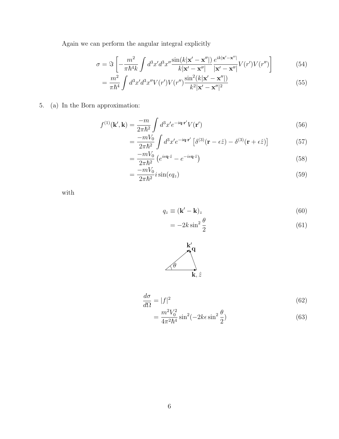Again we can perform the angular integral explicitly

$$
\sigma = \Im \left[ -\frac{m^2}{\pi \hbar^4 k} \int d^3 x' d^3 x'' \frac{\sin(k|\mathbf{x}' - \mathbf{x}''|)}{k|\mathbf{x}' - \mathbf{x}''|} \frac{e^{ik|\mathbf{x}' - \mathbf{x}''|}}{|\mathbf{x}' - \mathbf{x}''|} V(r') V(r'') \right]
$$
(54)

$$
= \frac{m^2}{\pi \hbar^4} \int d^3 x' d^3 x'' V(r') V(r'') \frac{\sin^2(k|\mathbf{x}' - \mathbf{x}''|)}{k^2 |\mathbf{x}' - \mathbf{x}''|^2}
$$
(55)

5. (a) In the Born approximation:

$$
f^{(1)}(\mathbf{k}',\mathbf{k}) = \frac{-m}{2\pi\hbar^2} \int d^3x' e^{-i\mathbf{q}\cdot\mathbf{r}'} V(\mathbf{r}')
$$
 (56)

$$
= \frac{-mV_0}{2\pi\hbar^2} \int d^3x' e^{-i\mathbf{q}\cdot\mathbf{r}'} \left[ \delta^{(3)}(\mathbf{r} - \epsilon\hat{z}) - \delta^{(3)}(\mathbf{r} + \epsilon\hat{z}) \right]
$$
(57)

$$
=\frac{-mV_0}{2\pi\hbar^2}\left(e^{i\epsilon\mathbf{q}\cdot\hat{z}}-e^{-i\epsilon\mathbf{q}\cdot\hat{z}}\right)
$$
\n(58)

$$
=\frac{-mV_0}{2\pi\hbar^2}i\sin(\epsilon q_z)\tag{59}
$$

with

$$
q_z \equiv (\mathbf{k}' - \mathbf{k})_z \tag{60}
$$

$$
= -2k\sin^2\frac{\theta}{2} \tag{61}
$$



$$
\frac{d\sigma}{d\Omega} = |f|^2
$$
\n
$$
m^2 V_0^2 \quad 2\left(-2\right) \quad 2\theta
$$
\n
$$
(62)
$$

$$
=\frac{m^2V_0^2}{4\pi^2\hbar^4}\sin^2(-2k\epsilon\sin^2\frac{\theta}{2})
$$
\n(63)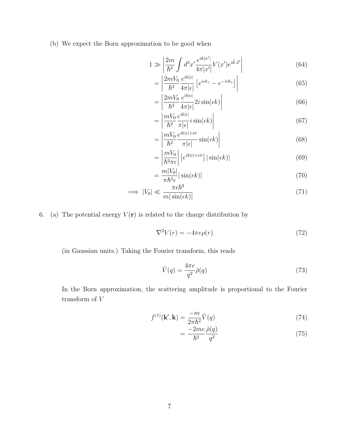(b) We expect the Born approximation to be good when

$$
1 \gg \left| \frac{2m}{\hbar^2} \int d^3x' \frac{e^{ik|x'|}}{4\pi |x'|} V(x') e^{i\vec{k}\cdot\vec{x}'} \right| \tag{64}
$$

$$
= \left| \frac{2mV_0}{\hbar^2} \frac{e^{ik|\epsilon|}}{4\pi|\epsilon|} \left[ e^{i\epsilon k_z} - e^{-i\epsilon k_z} \right] \right| \tag{65}
$$

$$
= \left| \frac{2mV_0}{\hbar^2} \frac{e^{ik|\epsilon|}}{4\pi|\epsilon|} 2i \sin(\epsilon k) \right| \tag{66}
$$

$$
= \left| \frac{mV_0}{\hbar^2} \frac{e^{ik|\epsilon|}}{\pi|\epsilon|} i \sin(\epsilon k) \right| \tag{67}
$$

$$
= \left| \frac{mV_0}{\hbar^2} \frac{e^{ik|\epsilon| + i\pi}}{\pi |\epsilon|} \sin(\epsilon k) \right| \tag{68}
$$

$$
= \left| \frac{mV_0}{\hbar^2 \pi \epsilon} \right| |e^{ik|\epsilon| + i\pi} | |\sin(\epsilon k)| \tag{69}
$$

$$
= \frac{m|V_0|}{\pi \hbar^2 \epsilon} |\sin(\epsilon k)| \tag{70}
$$

$$
\implies |V_0| \ll \frac{\pi \epsilon \hbar^2}{m|\sin(\epsilon k)|} \tag{71}
$$

6. (a) The potential energy  $V(\mathbf{r})$  is related to the charge distribution by

$$
\nabla^2 V(r) = -4\pi e \rho(r) \tag{72}
$$

(in Gaussian units.) Taking the Fourier transform, this reads

$$
\tilde{V}(q) = \frac{4\pi e}{q^2} \tilde{\rho}(q) \tag{73}
$$

In the Born approximation, the scattering amplitude is proportional to the Fourier transform of  ${\cal V}$ 

$$
f^{(1)}(\mathbf{k}',\mathbf{k}) = \frac{-m}{2\pi\hbar^2}\tilde{V}(q)
$$
\n(74)

$$
=\frac{-2me}{\hbar^2}\frac{\tilde{\rho}(q)}{q^2}\tag{75}
$$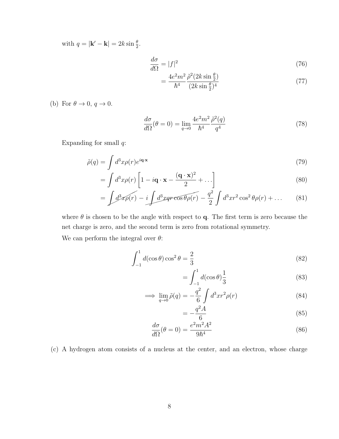with  $q = |\mathbf{k}' - \mathbf{k}| = 2k \sin \frac{\theta}{2}$ .

$$
\frac{d\sigma}{d\Omega} = |f|^2 \tag{76}
$$

$$
=\frac{4e^2m^2}{\hbar^4}\frac{\tilde{\rho}^2(2k\sin\frac{\theta}{2})}{(2k\sin\frac{\theta}{2})^4}
$$
(77)

(b) For  $\theta \to 0$ ,  $q \to 0$ .

$$
\frac{d\sigma}{d\Omega}(\theta=0) = \lim_{q \to 0} \frac{4e^2 m^2}{\hbar^4} \frac{\tilde{\rho}^2(q)}{q^4}
$$
\n(78)

Expanding for small  $q$ :

$$
\tilde{\rho}(q) = \int d^3x \rho(r)e^{i\mathbf{q}\cdot\mathbf{x}} \tag{79}
$$

$$
= \int d^3x \rho(r) \left[ 1 - i\mathbf{q} \cdot \mathbf{x} - \frac{(\mathbf{q} \cdot \mathbf{x})^2}{2} + \dots \right]
$$
 (80)

$$
= \int d^3x \rho(r) - i \int d^3x qr \cos\theta \rho(r) - \frac{q^2}{2} \int d^3x r^2 \cos^2\theta \rho(r) + \dots \tag{81}
$$

where  $\theta$  is chosen to be the angle with respect to **q**. The first term is zero because the net charge is zero, and the second term is zero from rotational symmetry.

We can perform the integral over  $\theta$ :

$$
\int_{-1}^{1} d(\cos \theta) \cos^2 \theta = \frac{2}{3}
$$
\n(82)

$$
= \int_{-1}^{1} d(\cos \theta) \frac{1}{3} \tag{83}
$$

$$
\implies \lim_{q \to 0} \tilde{\rho}(q) = -\frac{q^2}{6} \int d^3 x r^2 \rho(r) \tag{84}
$$

$$
=-\frac{q^2A}{6}\tag{85}
$$

$$
\frac{d\sigma}{d\Omega}(\theta = 0) = \frac{e^2 m^2 A^2}{9\hbar^4} \tag{86}
$$

(c) A hydrogen atom consists of a nucleus at the center, and an electron, whose charge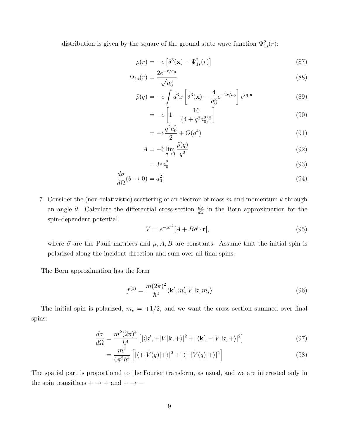distribution is given by the square of the ground state wave function  $\Psi_{1s}^2(r)$ :

$$
\rho(r) = -e \left[ \delta^3(\mathbf{x}) - \Psi_{1s}^2(r) \right] \tag{87}
$$

$$
\Psi_{1s}(r) = \frac{2e^{-r/a_0}}{\sqrt{a_0^3}}\tag{88}
$$

$$
\tilde{\rho}(q) = -e \int d^3x \left[ \delta^3(\mathbf{x}) - \frac{4}{a_0^3} e^{-2r/a_0} \right] e^{i\mathbf{q}\cdot\mathbf{x}} \tag{89}
$$

$$
= -e \left[ 1 - \frac{16}{(4 + q^2 a_0^2)^2} \right]
$$
\n(90)

$$
= -e^{\frac{q^2 a_0^2}{2}} + O(q^4)
$$
\n(91)

$$
A = -6 \lim_{q \to 0} \frac{\tilde{\rho}(q)}{q^2} \tag{92}
$$

$$
= 3ea_0^2 \tag{93}
$$

$$
\frac{d\sigma}{d\Omega}(\theta \to 0) = a_0^2 \tag{94}
$$

7. Consider the (non-relativistic) scattering of an electron of mass  $m$  and momentum  $k$  through an angle  $\theta$ . Calculate the differential cross-section  $\frac{d\sigma}{d\Omega}$  in the Born approximation for the spin-dependent potential

$$
V = e^{-\mu r^2} [A + B\vec{\sigma} \cdot \mathbf{r}], \tag{95}
$$

where  $\vec{\sigma}$  are the Pauli matrices and  $\mu$ , A, B are constants. Assume that the initial spin is polarized along the incident direction and sum over all final spins.

The Born approximation has the form

$$
f^{(1)} = \frac{m(2\pi)^2}{\hbar^2} \langle \mathbf{k}', m'_s | V | \mathbf{k}, m_s \rangle
$$
 (96)

The initial spin is polarized,  $m_s = +1/2$ , and we want the cross section summed over final spins:

$$
\frac{d\sigma}{d\Omega} = \frac{m^2 (2\pi)^4}{\hbar^4} \left[ |\langle \mathbf{k}', + |V|\mathbf{k}, + \rangle|^2 + |\langle \mathbf{k}', - |V|\mathbf{k}, + \rangle|^2 \right] \tag{97}
$$

$$
= \frac{m^2}{4\pi^2\hbar^4} \left[ |\langle +|\tilde{V}(q)|+ \rangle|^2 + |\langle -|\tilde{V}(q)|+ \rangle|^2 \right] \tag{98}
$$

The spatial part is proportional to the Fourier transform, as usual, and we are interested only in the spin transitions +  $\rightarrow$  + and +  $\rightarrow$   $-$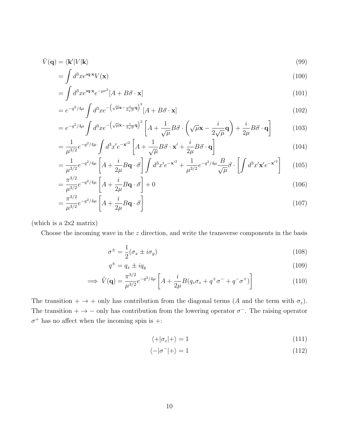$$
\tilde{V}(\mathbf{q}) = \langle \mathbf{k'} | V | \mathbf{k} \rangle \tag{99}
$$

$$
= \int d^3x e^{i\mathbf{q}\cdot\mathbf{x}} V(\mathbf{x}) \tag{100}
$$

$$
= \int d^3x e^{i\mathbf{q}\cdot\mathbf{x}} e^{-\mu r^2} [A + B\vec{\sigma}\cdot\mathbf{x}]
$$
\n(101)

$$
=e^{-q^2/4\mu}\int d^3x e^{-\left(\sqrt{\mu}\mathbf{x}-\frac{i}{2\sqrt{\mu}}\mathbf{q}\right)^2}[A+B\vec{\sigma}\cdot\mathbf{x}]
$$
\n(102)

$$
=e^{-q^2/4\mu}\int d^3x e^{-\left(\sqrt{\mu}\mathbf{x}-\frac{i}{2\sqrt{\mu}}\mathbf{q}\right)^2}\left[A+\frac{1}{\sqrt{\mu}}B\vec{\sigma}\cdot\left(\sqrt{\mu}\mathbf{x}-\frac{i}{2\sqrt{\mu}}\mathbf{q}\right)+\frac{i}{2\mu}B\vec{\sigma}\cdot\mathbf{q}\right]
$$
(103)

$$
=\frac{1}{\mu^{3/2}}e^{-q^2/4\mu}\int d^3x' e^{-\mathbf{x'}^2}\left[A+\frac{1}{\sqrt{\mu}}B\vec{\sigma}\cdot\mathbf{x'}+\frac{i}{2\mu}B\vec{\sigma}\cdot\mathbf{q}\right]
$$
(104)

$$
= \frac{1}{\mu^{3/2}} e^{-q^2/4\mu} \left[ A + \frac{i}{2\mu} B\mathbf{q} \cdot \vec{\sigma} \right] \int d^3x' e^{-\mathbf{x}'^2} + \frac{1}{\mu^{3/2}} e^{-q^2/4\mu} \frac{B}{\sqrt{\mu}} \vec{\sigma} \cdot \left[ \int d^3x' \mathbf{x}' e^{-\mathbf{x}'^2} \right] \tag{105}
$$

$$
= \frac{\pi^{3/2}}{\mu^{3/2}} e^{-q^2/4\mu} \left[ A + \frac{i}{2\mu} B \mathbf{q} \cdot \vec{\sigma} \right] + 0 \tag{106}
$$

$$
= \frac{\pi^{3/2}}{\mu^{3/2}} e^{-q^2/4\mu} \left[ A + \frac{i}{2\mu} B\mathbf{q} \cdot \vec{\sigma} \right]
$$
 (107)

(which is a 2x2 matrix)

Choose the incoming wave in the  $z$  direction, and write the transverse components in the basis

$$
\sigma^{\pm} = \frac{1}{2} (\sigma_x \pm i \sigma_y) \tag{108}
$$

$$
q^{\pm} = q_x \pm iq_y \tag{109}
$$

$$
\implies \tilde{V}(\mathbf{q}) = \frac{\pi^{3/2}}{\mu^{3/2}} e^{-q^2/4\mu} \left[ A + \frac{i}{2\mu} B(q_z \sigma_z + q^+ \sigma^- + q^- \sigma^+) \right]
$$
(110)

The transition +  $\rightarrow$  + only has contribution from the diagonal terms (A and the term with  $\sigma_z$ ). The transition  $+ \rightarrow -$  only has contribution from the lowering operator  $\sigma^-$ . The raising operator  $\sigma^+$  has no affect when the incoming spin is +:

$$
\langle +|\sigma_z|+\rangle = 1\tag{111}
$$

$$
\langle -|\sigma^-|+\rangle = 1\tag{112}
$$